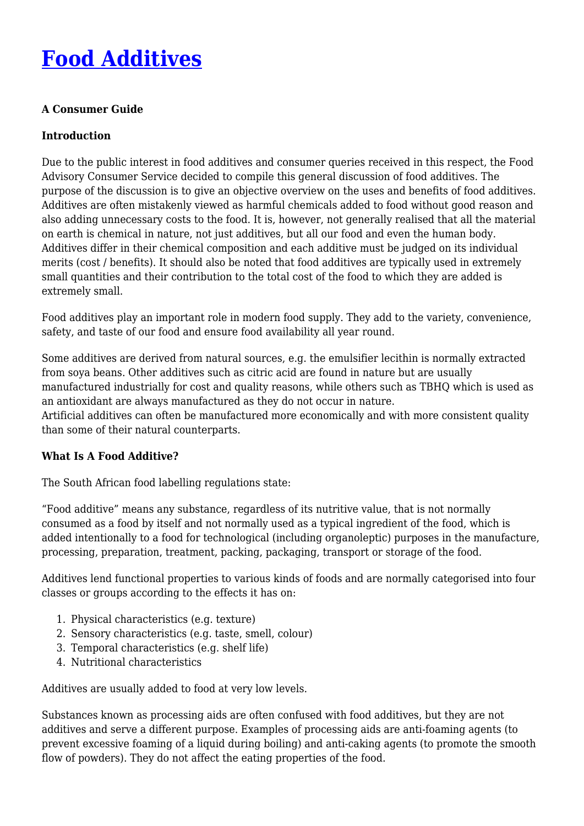# **[Food Additives](http://foodfacts.org.za/food-additives/)**

## **A Consumer Guide**

## **Introduction**

Due to the public interest in food additives and consumer queries received in this respect, the Food Advisory Consumer Service decided to compile this general discussion of food additives. The purpose of the discussion is to give an objective overview on the uses and benefits of food additives. Additives are often mistakenly viewed as harmful chemicals added to food without good reason and also adding unnecessary costs to the food. It is, however, not generally realised that all the material on earth is chemical in nature, not just additives, but all our food and even the human body. Additives differ in their chemical composition and each additive must be judged on its individual merits (cost / benefits). It should also be noted that food additives are typically used in extremely small quantities and their contribution to the total cost of the food to which they are added is extremely small.

Food additives play an important role in modern food supply. They add to the variety, convenience, safety, and taste of our food and ensure food availability all year round.

Some additives are derived from natural sources, e.g. the emulsifier lecithin is normally extracted from soya beans. Other additives such as citric acid are found in nature but are usually manufactured industrially for cost and quality reasons, while others such as TBHQ which is used as an antioxidant are always manufactured as they do not occur in nature. Artificial additives can often be manufactured more economically and with more consistent quality than some of their natural counterparts.

#### **What Is A Food Additive?**

The South African food labelling regulations state:

"Food additive" means any substance, regardless of its nutritive value, that is not normally consumed as a food by itself and not normally used as a typical ingredient of the food, which is added intentionally to a food for technological (including organoleptic) purposes in the manufacture, processing, preparation, treatment, packing, packaging, transport or storage of the food.

Additives lend functional properties to various kinds of foods and are normally categorised into four classes or groups according to the effects it has on:

- 1. Physical characteristics (e.g. texture)
- 2. Sensory characteristics (e.g. taste, smell, colour)
- 3. Temporal characteristics (e.g. shelf life)
- 4. Nutritional characteristics

Additives are usually added to food at very low levels.

Substances known as processing aids are often confused with food additives, but they are not additives and serve a different purpose. Examples of processing aids are anti-foaming agents (to prevent excessive foaming of a liquid during boiling) and anti-caking agents (to promote the smooth flow of powders). They do not affect the eating properties of the food.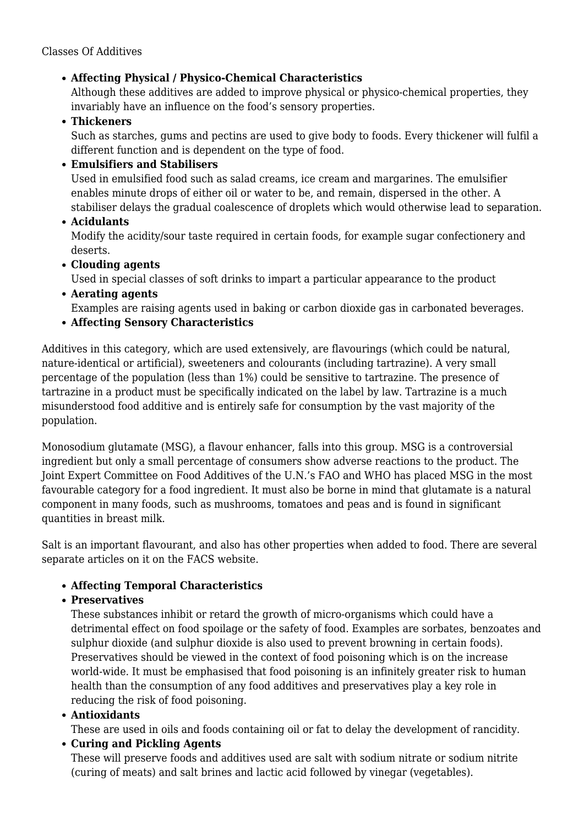# **Affecting Physical / Physico-Chemical Characteristics**

Although these additives are added to improve physical or physico-chemical properties, they invariably have an influence on the food's sensory properties.

## **Thickeners**

Such as starches, gums and pectins are used to give body to foods. Every thickener will fulfil a different function and is dependent on the type of food.

# **Emulsifiers and Stabilisers**

Used in emulsified food such as salad creams, ice cream and margarines. The emulsifier enables minute drops of either oil or water to be, and remain, dispersed in the other. A stabiliser delays the gradual coalescence of droplets which would otherwise lead to separation.

**Acidulants**

Modify the acidity/sour taste required in certain foods, for example sugar confectionery and deserts.

**Clouding agents**

Used in special classes of soft drinks to impart a particular appearance to the product

- **Aerating agents** Examples are raising agents used in baking or carbon dioxide gas in carbonated beverages.
- **Affecting Sensory Characteristics**

Additives in this category, which are used extensively, are flavourings (which could be natural, nature-identical or artificial), sweeteners and colourants (including tartrazine). A very small percentage of the population (less than 1%) could be sensitive to tartrazine. The presence of tartrazine in a product must be specifically indicated on the label by law. Tartrazine is a much misunderstood food additive and is entirely safe for consumption by the vast majority of the population.

Monosodium glutamate (MSG), a flavour enhancer, falls into this group. MSG is a controversial ingredient but only a small percentage of consumers show adverse reactions to the product. The Joint Expert Committee on Food Additives of the U.N.'s FAO and WHO has placed MSG in the most favourable category for a food ingredient. It must also be borne in mind that glutamate is a natural component in many foods, such as mushrooms, tomatoes and peas and is found in significant quantities in breast milk.

Salt is an important flavourant, and also has other properties when added to food. There are several separate articles on it on the FACS website.

# **Affecting Temporal Characteristics**

# **Preservatives**

These substances inhibit or retard the growth of micro-organisms which could have a detrimental effect on food spoilage or the safety of food. Examples are sorbates, benzoates and sulphur dioxide (and sulphur dioxide is also used to prevent browning in certain foods). Preservatives should be viewed in the context of food poisoning which is on the increase world-wide. It must be emphasised that food poisoning is an infinitely greater risk to human health than the consumption of any food additives and preservatives play a key role in reducing the risk of food poisoning.

# **Antioxidants**

These are used in oils and foods containing oil or fat to delay the development of rancidity.

# **Curing and Pickling Agents**

These will preserve foods and additives used are salt with sodium nitrate or sodium nitrite (curing of meats) and salt brines and lactic acid followed by vinegar (vegetables).